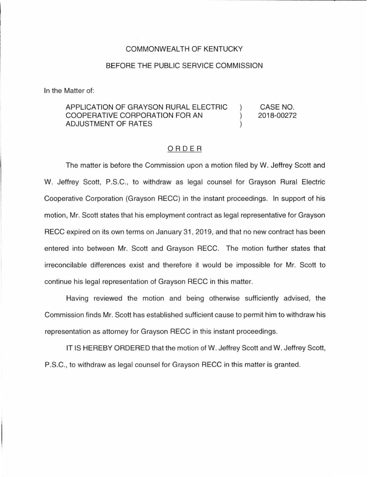## COMMONWEALTH OF KENTUCKY

## BEFORE THE PUBLIC SERVICE COMMISSION

In the Matter of:

## APPLICATION OF GRAYSON RURAL ELECTRIC CASE NO.  $\mathcal{E}$ COOPERATIVE CORPORATION FOR AN  $\mathcal{E}$ 2018-00272 ADJUSTMENT OF RATES  $\mathcal{L}$

## ORDER

The matter is before the Commission upon a motion filed by W. Jeffrey Scott and W. Jeffrey Scott, P.S.C. , to withdraw as legal counsel for Grayson Rural Electric Cooperative Corporation (Grayson RECC) in the instant proceedings. In support of his motion, Mr. Scott states that his employment contract as legal representative for Grayson RECC expired on its own terms on January 31 , 2019, and that no new contract has been entered into between Mr. Scott and Grayson RECC. The motion further states that irreconcilable differences exist and therefore it would be impossible for Mr. Scott to continue his legal representation of Grayson RECC in this matter.

Having reviewed the motion and being otherwise sufficiently advised, the Commission finds Mr. Scott has established sufficient cause to permit him to withdraw his representation as attorney for Grayson RECC in this instant proceedings.

IT IS HEREBY ORDERED that the motion of W. Jeffrey Scott and W. Jeffrey Scott, P.S.C., to withdraw as legal counsel for Grayson RECC in this matter is granted.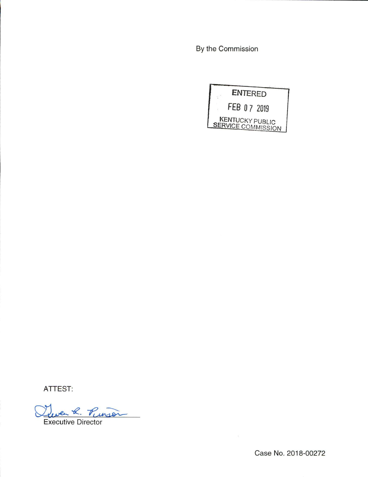By the Commission



ATTEST:

Leven R. Punson

Executive Director